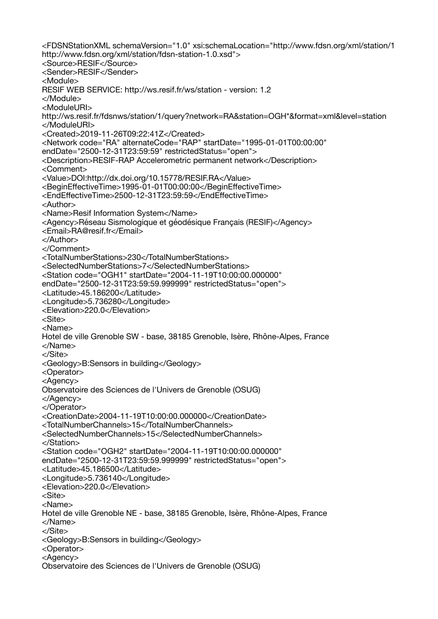<FDSNStationXML schemaVersion="1.0" xsi:schemaLocation="http://www.fdsn.org/xml/station/1 http://www.fdsn.org/xml/station/fdsn-station-1.0.xsd"> <Source>RESIF</Source> <Sender>RESIF</Sender> <Module> RESIF WEB SERVICE: http://ws.resif.fr/ws/station - version: 1.2 </Module> <ModuleURI> http://ws.resif.fr/fdsnws/station/1/query?network=RA&station=OGH\*&format=xml&level=station </ModuleURI> <Created>2019-11-26T09:22:41Z</Created> <Network code="RA" alternateCode="RAP" startDate="1995-01-01T00:00:00" endDate="2500-12-31T23:59:59" restrictedStatus="open"> <Description>RESIF-RAP Accelerometric permanent network</Description> <Comment> <Value>DOI:http://dx.doi.org/10.15778/RESIF.RA</Value> <BeginEffectiveTime>1995-01-01T00:00:00</BeginEffectiveTime> <EndEffectiveTime>2500-12-31T23:59:59</EndEffectiveTime> <Author> <Name>Resif Information System</Name> <Agency>Réseau Sismologique et géodésique Français (RESIF)</Agency> <Email>RA@resif.fr</Email> </Author> </Comment> <TotalNumberStations>230</TotalNumberStations> <SelectedNumberStations>7</SelectedNumberStations> <Station code="OGH1" startDate="2004-11-19T10:00:00.000000" endDate="2500-12-31T23:59:59.999999" restrictedStatus="open"> <Latitude>45.186200</Latitude> <Longitude>5.736280</Longitude> <Elevation>220.0</Elevation> <Site> <Name> Hotel de ville Grenoble SW - base, 38185 Grenoble, Isère, Rhône-Alpes, France </Name> </Site> <Geology>B:Sensors in building</Geology> <Operator> <Agency> Observatoire des Sciences de l'Univers de Grenoble (OSUG) </Agency> </Operator> <CreationDate>2004-11-19T10:00:00.000000</CreationDate> <TotalNumberChannels>15</TotalNumberChannels> <SelectedNumberChannels>15</SelectedNumberChannels> </Station> <Station code="OGH2" startDate="2004-11-19T10:00:00.000000" endDate="2500-12-31T23:59:59.999999" restrictedStatus="open"> <Latitude>45.186500</Latitude> <Longitude>5.736140</Longitude> <Elevation>220.0</Elevation> <Site> <Name> Hotel de ville Grenoble NE - base, 38185 Grenoble, Isère, Rhône-Alpes, France </Name> </Site> <Geology>B:Sensors in building</Geology> <Operator> <Agency> Observatoire des Sciences de l'Univers de Grenoble (OSUG)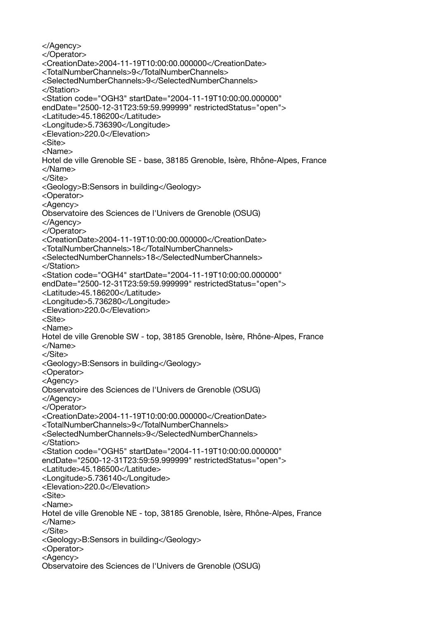</Agency> </Operator> <CreationDate>2004-11-19T10:00:00.000000</CreationDate> <TotalNumberChannels>9</TotalNumberChannels> <SelectedNumberChannels>9</SelectedNumberChannels> </Station> <Station code="OGH3" startDate="2004-11-19T10:00:00.000000" endDate="2500-12-31T23:59:59.999999" restrictedStatus="open"> <Latitude>45.186200</Latitude> <Longitude>5.736390</Longitude> <Elevation>220.0</Elevation> <Site> <Name> Hotel de ville Grenoble SE - base, 38185 Grenoble, Isère, Rhône-Alpes, France </Name> </Site> <Geology>B:Sensors in building</Geology> <Operator> <Agency> Observatoire des Sciences de l'Univers de Grenoble (OSUG) </Agency> </Operator> <CreationDate>2004-11-19T10:00:00.000000</CreationDate> <TotalNumberChannels>18</TotalNumberChannels> <SelectedNumberChannels>18</SelectedNumberChannels> </Station> <Station code="OGH4" startDate="2004-11-19T10:00:00.000000" endDate="2500-12-31T23:59:59.999999" restrictedStatus="open"> <Latitude>45.186200</Latitude> <Longitude>5.736280</Longitude> <Elevation>220.0</Elevation> <Site> <Name> Hotel de ville Grenoble SW - top, 38185 Grenoble, Isère, Rhône-Alpes, France </Name> </Site> <Geology>B:Sensors in building</Geology> <Operator> <Agency> Observatoire des Sciences de l'Univers de Grenoble (OSUG) </Agency> </Operator> <CreationDate>2004-11-19T10:00:00.000000</CreationDate> <TotalNumberChannels>9</TotalNumberChannels> <SelectedNumberChannels>9</SelectedNumberChannels> </Station> <Station code="OGH5" startDate="2004-11-19T10:00:00.000000" endDate="2500-12-31T23:59:59.999999" restrictedStatus="open"> <Latitude>45.186500</Latitude> <Longitude>5.736140</Longitude> <Elevation>220.0</Elevation> <Site> <Name> Hotel de ville Grenoble NE - top, 38185 Grenoble, Isère, Rhône-Alpes, France </Name> </Site> <Geology>B:Sensors in building</Geology> <Operator> <Agency> Observatoire des Sciences de l'Univers de Grenoble (OSUG)